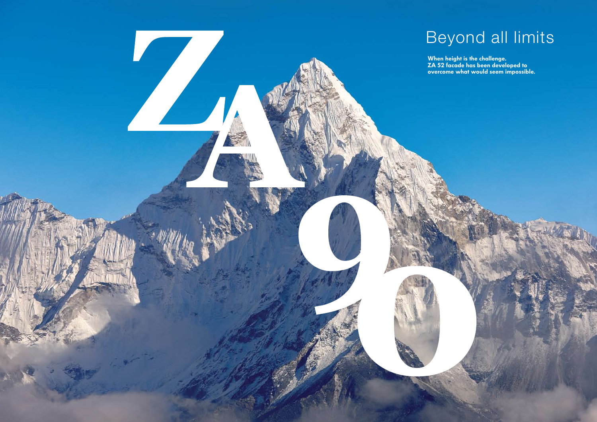When height is the challenge. ZA 52 facade has been developed to overcome what would seem impossible.



# Beyond all limits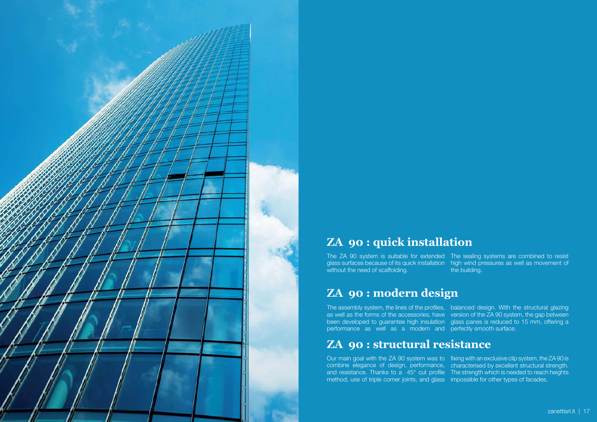

# **ZA 90 : quick installation**

## **ZA 90 : modern design**

# **ZA 90 : structural resistance**

The ZA 90 system is suitable for extended The sealing systems are combined to resist glass surfaces because of its quick installation high wind pressures as well as movement of without the need of scaffolding. the building.

The assembly system, the lines of the profiles, balanced design. With the structural glazing as well as the forms of the accessories, have version of the ZA 90 system, the gap between been developed to guarantee high insulation glass panes is reduced to 15 mm, offering a performance as well as a modern and perfectly smooth surface.

Our main goal with the ZA 90 system was to fixing with an exclusive clip system, the ZA 90 is combine elegance of design, performance, characterised by excellent structural strength. and resistance. Thanks to a 45° cut profile The strength which is needed to reach heights method, use of triple corner joints, and glass impossible for other types of facades.